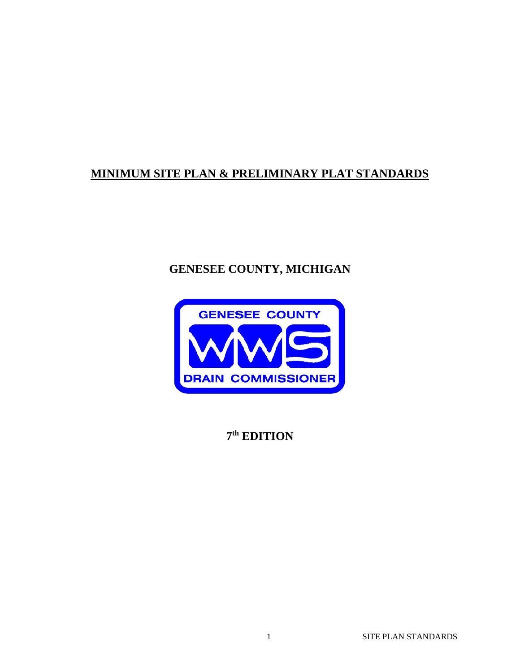# **MINIMUM SITE PLAN & PRELIMINARY PLAT STANDARDS**

# **GENESEE COUNTY, MICHIGAN**



**7th EDITION**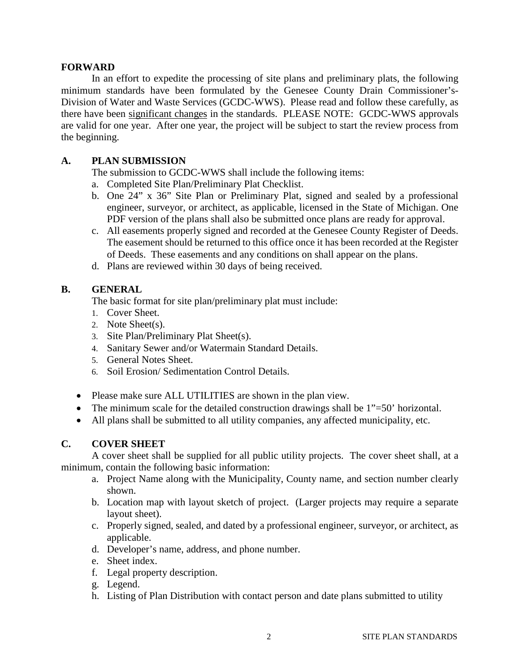#### **FORWARD**

In an effort to expedite the processing of site plans and preliminary plats, the following minimum standards have been formulated by the Genesee County Drain Commissioner's-Division of Water and Waste Services (GCDC-WWS). Please read and follow these carefully, as there have been significant changes in the standards. PLEASE NOTE: GCDC-WWS approvals are valid for one year. After one year, the project will be subject to start the review process from the beginning.

# **A. PLAN SUBMISSION**

The submission to GCDC-WWS shall include the following items:

- a. Completed Site Plan/Preliminary Plat Checklist.
- b. One 24" x 36" Site Plan or Preliminary Plat, signed and sealed by a professional engineer, surveyor, or architect, as applicable, licensed in the State of Michigan. One PDF version of the plans shall also be submitted once plans are ready for approval.
- c. All easements properly signed and recorded at the Genesee County Register of Deeds. The easement should be returned to this office once it has been recorded at the Register of Deeds. These easements and any conditions on shall appear on the plans.
- d. Plans are reviewed within 30 days of being received.

#### **B. GENERAL**

The basic format for site plan/preliminary plat must include:

- 1. Cover Sheet.
- 2. Note Sheet(s).
- 3. Site Plan/Preliminary Plat Sheet(s).
- 4. Sanitary Sewer and/or Watermain Standard Details.
- 5. General Notes Sheet.
- 6. Soil Erosion/ Sedimentation Control Details.
- Please make sure ALL UTILITIES are shown in the plan view.
- The minimum scale for the detailed construction drawings shall be  $1"=\overline{50}$  horizontal.
- All plans shall be submitted to all utility companies, any affected municipality, etc.

### **C. COVER SHEET**

A cover sheet shall be supplied for all public utility projects. The cover sheet shall, at a minimum, contain the following basic information:

- a. Project Name along with the Municipality, County name, and section number clearly shown.
- b. Location map with layout sketch of project. (Larger projects may require a separate layout sheet).
- c. Properly signed, sealed, and dated by a professional engineer, surveyor, or architect, as applicable.
- d. Developer's name, address, and phone number.
- e. Sheet index.
- f. Legal property description.
- g. Legend.
- h. Listing of Plan Distribution with contact person and date plans submitted to utility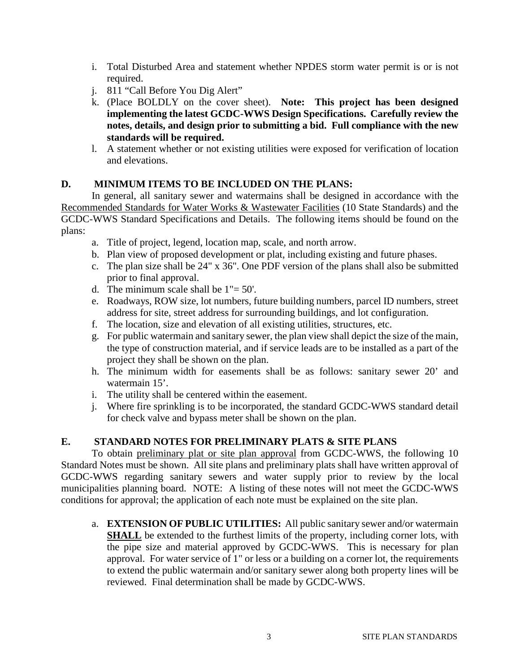- i. Total Disturbed Area and statement whether NPDES storm water permit is or is not required.
- j. 811 "Call Before You Dig Alert"
- k. (Place BOLDLY on the cover sheet). **Note: This project has been designed implementing the latest GCDC-WWS Design Specifications. Carefully review the notes, details, and design prior to submitting a bid. Full compliance with the new standards will be required.**
- l. A statement whether or not existing utilities were exposed for verification of location and elevations.

# **D. MINIMUM ITEMS TO BE INCLUDED ON THE PLANS:**

In general, all sanitary sewer and watermains shall be designed in accordance with the Recommended Standards for Water Works & Wastewater Facilities (10 State Standards) and the GCDC-WWS Standard Specifications and Details. The following items should be found on the plans:

- a. Title of project, legend, location map, scale, and north arrow.
- b. Plan view of proposed development or plat, including existing and future phases.
- c. The plan size shall be 24" x 36". One PDF version of the plans shall also be submitted prior to final approval.
- d. The minimum scale shall be  $1" = 50'$ .
- e. Roadways, ROW size, lot numbers, future building numbers, parcel ID numbers, street address for site, street address for surrounding buildings, and lot configuration.
- f. The location, size and elevation of all existing utilities, structures, etc.
- g. For public watermain and sanitary sewer, the plan view shall depict the size of the main, the type of construction material, and if service leads are to be installed as a part of the project they shall be shown on the plan.
- h. The minimum width for easements shall be as follows: sanitary sewer 20' and watermain 15'.
- i. The utility shall be centered within the easement.
- j. Where fire sprinkling is to be incorporated, the standard GCDC-WWS standard detail for check valve and bypass meter shall be shown on the plan.

# **E. STANDARD NOTES FOR PRELIMINARY PLATS & SITE PLANS**

To obtain preliminary plat or site plan approval from GCDC-WWS, the following 10 Standard Notes must be shown. All site plans and preliminary plats shall have written approval of GCDC-WWS regarding sanitary sewers and water supply prior to review by the local municipalities planning board. NOTE: A listing of these notes will not meet the GCDC-WWS conditions for approval; the application of each note must be explained on the site plan.

a. **EXTENSION OF PUBLIC UTILITIES:** All public sanitary sewer and/or watermain **SHALL** be extended to the furthest limits of the property, including corner lots, with the pipe size and material approved by GCDC-WWS. This is necessary for plan approval. For water service of 1" or less or a building on a corner lot, the requirements to extend the public watermain and/or sanitary sewer along both property lines will be reviewed. Final determination shall be made by GCDC-WWS.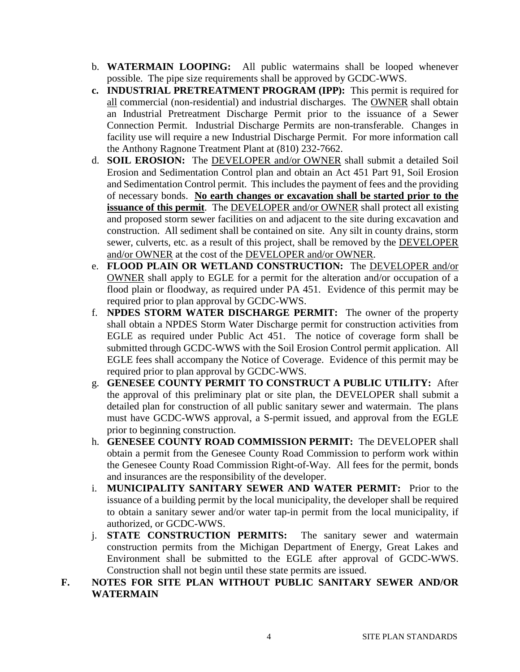- b. **WATERMAIN LOOPING:** All public watermains shall be looped whenever possible. The pipe size requirements shall be approved by GCDC-WWS.
- **c. INDUSTRIAL PRETREATMENT PROGRAM (IPP):** This permit is required for all commercial (non-residential) and industrial discharges. The OWNER shall obtain an Industrial Pretreatment Discharge Permit prior to the issuance of a Sewer Connection Permit. Industrial Discharge Permits are non-transferable. Changes in facility use will require a new Industrial Discharge Permit. For more information call the Anthony Ragnone Treatment Plant at (810) 232-7662.
- d. **SOIL EROSION:** The DEVELOPER and/or OWNER shall submit a detailed Soil Erosion and Sedimentation Control plan and obtain an Act 451 Part 91, Soil Erosion and Sedimentation Control permit. This includes the payment of fees and the providing of necessary bonds. **No earth changes or excavation shall be started prior to the issuance of this permit.** The **DEVELOPER** and/or **OWNER** shall protect all existing and proposed storm sewer facilities on and adjacent to the site during excavation and construction. All sediment shall be contained on site. Any silt in county drains, storm sewer, culverts, etc. as a result of this project, shall be removed by the DEVELOPER and/or OWNER at the cost of the DEVELOPER and/or OWNER.
- e. **FLOOD PLAIN OR WETLAND CONSTRUCTION:** The DEVELOPER and/or OWNER shall apply to EGLE for a permit for the alteration and/or occupation of a flood plain or floodway, as required under PA 451. Evidence of this permit may be required prior to plan approval by GCDC-WWS.
- f. **NPDES STORM WATER DISCHARGE PERMIT:** The owner of the property shall obtain a NPDES Storm Water Discharge permit for construction activities from EGLE as required under Public Act 451. The notice of coverage form shall be submitted through GCDC-WWS with the Soil Erosion Control permit application. All EGLE fees shall accompany the Notice of Coverage. Evidence of this permit may be required prior to plan approval by GCDC-WWS.
- g. **GENESEE COUNTY PERMIT TO CONSTRUCT A PUBLIC UTILITY:** After the approval of this preliminary plat or site plan, the DEVELOPER shall submit a detailed plan for construction of all public sanitary sewer and watermain. The plans must have GCDC-WWS approval, a S-permit issued, and approval from the EGLE prior to beginning construction.
- h. **GENESEE COUNTY ROAD COMMISSION PERMIT:** The DEVELOPER shall obtain a permit from the Genesee County Road Commission to perform work within the Genesee County Road Commission Right-of-Way. All fees for the permit, bonds and insurances are the responsibility of the developer.
- i. **MUNICIPALITY SANITARY SEWER AND WATER PERMIT:** Prior to the issuance of a building permit by the local municipality, the developer shall be required to obtain a sanitary sewer and/or water tap-in permit from the local municipality, if authorized, or GCDC-WWS.
- j. **STATE CONSTRUCTION PERMITS:** The sanitary sewer and watermain construction permits from the Michigan Department of Energy, Great Lakes and Environment shall be submitted to the EGLE after approval of GCDC-WWS. Construction shall not begin until these state permits are issued.
- **F. NOTES FOR SITE PLAN WITHOUT PUBLIC SANITARY SEWER AND/OR WATERMAIN**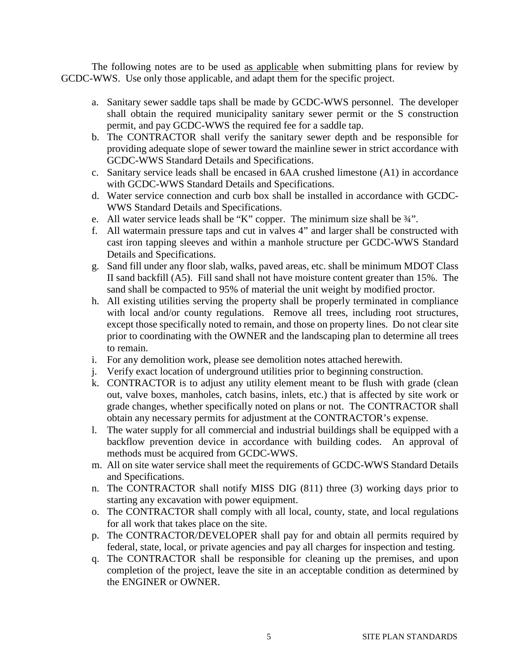The following notes are to be used as applicable when submitting plans for review by GCDC-WWS. Use only those applicable, and adapt them for the specific project.

- a. Sanitary sewer saddle taps shall be made by GCDC-WWS personnel. The developer shall obtain the required municipality sanitary sewer permit or the S construction permit, and pay GCDC-WWS the required fee for a saddle tap.
- b. The CONTRACTOR shall verify the sanitary sewer depth and be responsible for providing adequate slope of sewer toward the mainline sewer in strict accordance with GCDC-WWS Standard Details and Specifications.
- c. Sanitary service leads shall be encased in 6AA crushed limestone (A1) in accordance with GCDC-WWS Standard Details and Specifications.
- d. Water service connection and curb box shall be installed in accordance with GCDC-WWS Standard Details and Specifications.
- e. All water service leads shall be "K" copper. The minimum size shall be ¾".
- f. All watermain pressure taps and cut in valves 4" and larger shall be constructed with cast iron tapping sleeves and within a manhole structure per GCDC-WWS Standard Details and Specifications.
- g. Sand fill under any floor slab, walks, paved areas, etc. shall be minimum MDOT Class II sand backfill (A5). Fill sand shall not have moisture content greater than 15%. The sand shall be compacted to 95% of material the unit weight by modified proctor.
- h. All existing utilities serving the property shall be properly terminated in compliance with local and/or county regulations. Remove all trees, including root structures, except those specifically noted to remain, and those on property lines. Do not clear site prior to coordinating with the OWNER and the landscaping plan to determine all trees to remain.
- i. For any demolition work, please see demolition notes attached herewith.
- j. Verify exact location of underground utilities prior to beginning construction.
- k. CONTRACTOR is to adjust any utility element meant to be flush with grade (clean out, valve boxes, manholes, catch basins, inlets, etc.) that is affected by site work or grade changes, whether specifically noted on plans or not. The CONTRACTOR shall obtain any necessary permits for adjustment at the CONTRACTOR's expense.
- l. The water supply for all commercial and industrial buildings shall be equipped with a backflow prevention device in accordance with building codes. An approval of methods must be acquired from GCDC-WWS.
- m. All on site water service shall meet the requirements of GCDC-WWS Standard Details and Specifications.
- n. The CONTRACTOR shall notify MISS DIG (811) three (3) working days prior to starting any excavation with power equipment.
- o. The CONTRACTOR shall comply with all local, county, state, and local regulations for all work that takes place on the site.
- p. The CONTRACTOR/DEVELOPER shall pay for and obtain all permits required by federal, state, local, or private agencies and pay all charges for inspection and testing.
- q. The CONTRACTOR shall be responsible for cleaning up the premises, and upon completion of the project, leave the site in an acceptable condition as determined by the ENGINER or OWNER.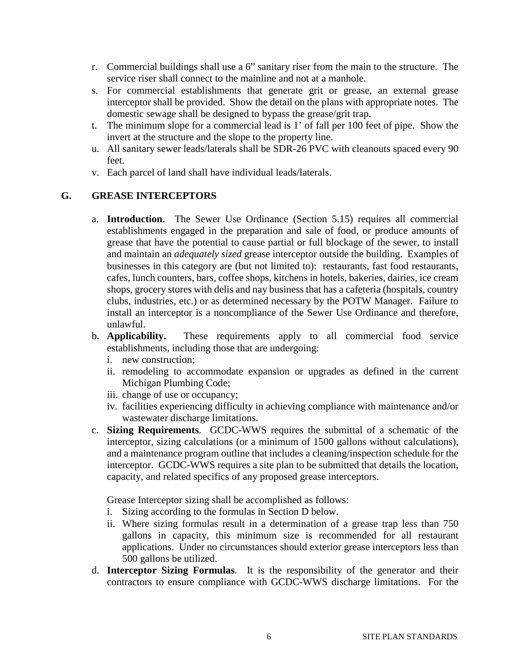- r. Commercial buildings shall use a 6" sanitary riser from the main to the structure. The service riser shall connect to the mainline and not at a manhole.
- s. For commercial establishments that generate grit or grease, an external grease interceptor shall be provided. Show the detail on the plans with appropriate notes. The domestic sewage shall be designed to bypass the grease/grit trap.
- t. The minimum slope for a commercial lead is 1' of fall per 100 feet of pipe. Show the invert at the structure and the slope to the property line.
- u. All sanitary sewer leads/laterals shall be SDR-26 PVC with cleanouts spaced every 90 feet.
- v. Each parcel of land shall have individual leads/laterals.

# **G. GREASE INTERCEPTORS**

- a. **Introduction.** The Sewer Use Ordinance (Section 5.15) requires all commercial establishments engaged in the preparation and sale of food, or produce amounts of grease that have the potential to cause partial or full blockage of the sewer, to install and maintain an *adequately sized* grease interceptor outside the building. Examples of businesses in this category are (but not limited to): restaurants, fast food restaurants, cafes, lunch counters, bars, coffee shops, kitchens in hotels, bakeries, dairies, ice cream shops, grocery stores with delis and nay business that has a cafeteria (hospitals, country clubs, industries, etc.) or as determined necessary by the POTW Manager. Failure to install an interceptor is a noncompliance of the Sewer Use Ordinance and therefore, unlawful.
- b. **Applicability.** These requirements apply to all commercial food service establishments, including those that are undergoing:
	- i. new construction;
	- ii. remodeling to accommodate expansion or upgrades as defined in the current Michigan Plumbing Code;
	- iii. change of use or occupancy;
	- iv. facilities experiencing difficulty in achieving compliance with maintenance and/or wastewater discharge limitations.
- c. **Sizing Requirements**. GCDC-WWS requires the submittal of a schematic of the interceptor, sizing calculations (or a minimum of 1500 gallons without calculations), and a maintenance program outline that includes a cleaning/inspection schedule for the interceptor. GCDC-WWS requires a site plan to be submitted that details the location, capacity, and related specifics of any proposed grease interceptors.

Grease Interceptor sizing shall be accomplished as follows:

- i. Sizing according to the formulas in Section D below.
- ii. Where sizing formulas result in a determination of a grease trap less than 750 gallons in capacity, this minimum size is recommended for all restaurant applications. Under no circumstances should exterior grease interceptors less than 500 gallons be utilized.
- d. **Interceptor Sizing Formulas**. It is the responsibility of the generator and their contractors to ensure compliance with GCDC-WWS discharge limitations. For the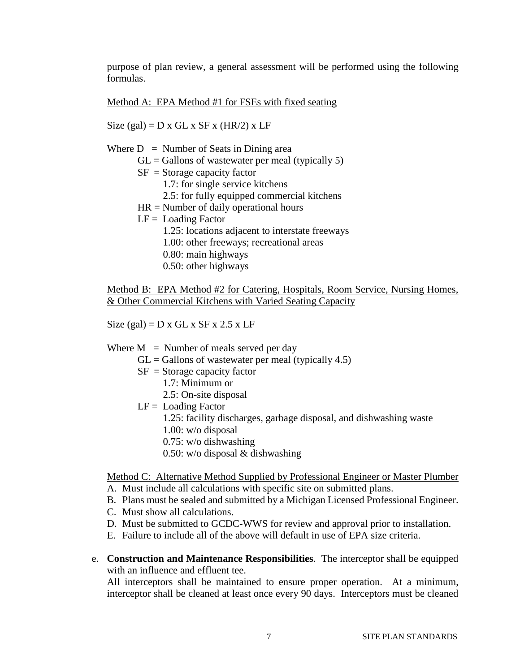purpose of plan review, a general assessment will be performed using the following formulas.

Method A: EPA Method #1 for FSEs with fixed seating

Size (gal) =  $D x GL x S F x (HR/2) x LF$ Where  $D =$  Number of Seats in Dining area  $GL =$  Gallons of wastewater per meal (typically 5)  $SF = Storage capacity factor$  1.7: for single service kitchens 2.5: for fully equipped commercial kitchens HR = Number of daily operational hours  $LF =$  Loading Factor 1.25: locations adjacent to interstate freeways 1.00: other freeways; recreational areas 0.80: main highways 0.50: other highways

Method B: EPA Method #2 for Catering, Hospitals, Room Service, Nursing Homes, & Other Commercial Kitchens with Varied Seating Capacity

Size (gal) =  $D \times GL \times SF \times 2.5 \times LF$ 

- Where  $M =$  Number of meals served per day
	- $GL =$  Gallons of wastewater per meal (typically 4.5)
	- $SF = Storage capacity factor$ 
		- 1.7: Minimum or
		- 2.5: On-site disposal
	- $LF =$  Loading Factor
		- 1.25: facility discharges, garbage disposal, and dishwashing waste
		- 1.00: w/o disposal
		- 0.75: w/o dishwashing
		- 0.50: w/o disposal & dishwashing

Method C: Alternative Method Supplied by Professional Engineer or Master Plumber

- A. Must include all calculations with specific site on submitted plans.
- B. Plans must be sealed and submitted by a Michigan Licensed Professional Engineer.
- C. Must show all calculations.
- D. Must be submitted to GCDC-WWS for review and approval prior to installation.
- E. Failure to include all of the above will default in use of EPA size criteria.
- e. **Construction and Maintenance Responsibilities**. The interceptor shall be equipped with an influence and effluent tee.

All interceptors shall be maintained to ensure proper operation. At a minimum, interceptor shall be cleaned at least once every 90 days. Interceptors must be cleaned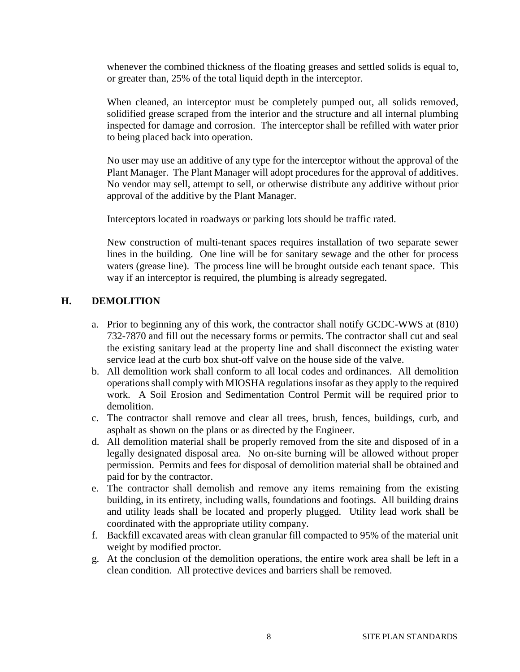whenever the combined thickness of the floating greases and settled solids is equal to, or greater than, 25% of the total liquid depth in the interceptor.

When cleaned, an interceptor must be completely pumped out, all solids removed, solidified grease scraped from the interior and the structure and all internal plumbing inspected for damage and corrosion. The interceptor shall be refilled with water prior to being placed back into operation.

No user may use an additive of any type for the interceptor without the approval of the Plant Manager. The Plant Manager will adopt procedures for the approval of additives. No vendor may sell, attempt to sell, or otherwise distribute any additive without prior approval of the additive by the Plant Manager.

Interceptors located in roadways or parking lots should be traffic rated.

New construction of multi-tenant spaces requires installation of two separate sewer lines in the building. One line will be for sanitary sewage and the other for process waters (grease line). The process line will be brought outside each tenant space. This way if an interceptor is required, the plumbing is already segregated.

### **H. DEMOLITION**

- a. Prior to beginning any of this work, the contractor shall notify GCDC-WWS at (810) 732-7870 and fill out the necessary forms or permits. The contractor shall cut and seal the existing sanitary lead at the property line and shall disconnect the existing water service lead at the curb box shut-off valve on the house side of the valve.
- b. All demolition work shall conform to all local codes and ordinances. All demolition operations shall comply with MIOSHA regulations insofar as they apply to the required work. A Soil Erosion and Sedimentation Control Permit will be required prior to demolition.
- c. The contractor shall remove and clear all trees, brush, fences, buildings, curb, and asphalt as shown on the plans or as directed by the Engineer.
- d. All demolition material shall be properly removed from the site and disposed of in a legally designated disposal area. No on-site burning will be allowed without proper permission. Permits and fees for disposal of demolition material shall be obtained and paid for by the contractor.
- e. The contractor shall demolish and remove any items remaining from the existing building, in its entirety, including walls, foundations and footings. All building drains and utility leads shall be located and properly plugged. Utility lead work shall be coordinated with the appropriate utility company.
- f. Backfill excavated areas with clean granular fill compacted to 95% of the material unit weight by modified proctor.
- g. At the conclusion of the demolition operations, the entire work area shall be left in a clean condition. All protective devices and barriers shall be removed.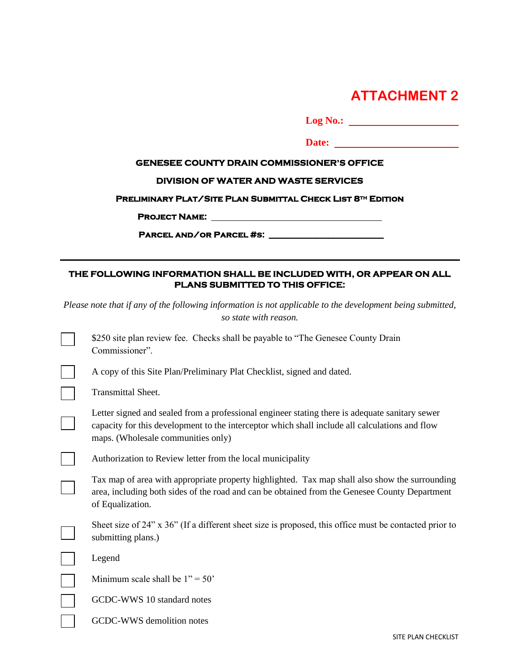# **ATTACHMENT 2**

| Log No.:                                                                                                     |
|--------------------------------------------------------------------------------------------------------------|
| Date:                                                                                                        |
| <b>GENESEE COUNTY DRAIN COMMISSIONER'S OFFICE</b>                                                            |
| <b>DIVISION OF WATER AND WASTE SERVICES</b>                                                                  |
| <b>PRELIMINARY PLAT/SITE PLAN SUBMITTAL CHECK LIST 8TH EDITION</b>                                           |
|                                                                                                              |
|                                                                                                              |
|                                                                                                              |
| THE FOLLOWING INFORMATION SHALL BE INCLUDED WITH, OR APPEAR ON ALL<br><b>PLANS SUBMITTED TO THIS OFFICE:</b> |

*Please note that if any of the following information is not applicable to the development being submitted, so state with reason.*

| \$250 site plan review fee. Checks shall be payable to "The Genesee County Drain"<br>Commissioner".                                                                                                                                    |
|----------------------------------------------------------------------------------------------------------------------------------------------------------------------------------------------------------------------------------------|
| A copy of this Site Plan/Preliminary Plat Checklist, signed and dated.                                                                                                                                                                 |
| <b>Transmittal Sheet.</b>                                                                                                                                                                                                              |
| Letter signed and sealed from a professional engineer stating there is adequate sanitary sewer<br>capacity for this development to the interceptor which shall include all calculations and flow<br>maps. (Wholesale communities only) |
| Authorization to Review letter from the local municipality                                                                                                                                                                             |
| Tax map of area with appropriate property highlighted. Tax map shall also show the surrounding<br>area, including both sides of the road and can be obtained from the Genesee County Department<br>of Equalization.                    |
| Sheet size of 24" x 36" (If a different sheet size is proposed, this office must be contacted prior to<br>submitting plans.)                                                                                                           |
| Legend                                                                                                                                                                                                                                 |
| Minimum scale shall be $1" = 50"$                                                                                                                                                                                                      |
| GCDC-WWS 10 standard notes                                                                                                                                                                                                             |
| GCDC-WWS demolition notes                                                                                                                                                                                                              |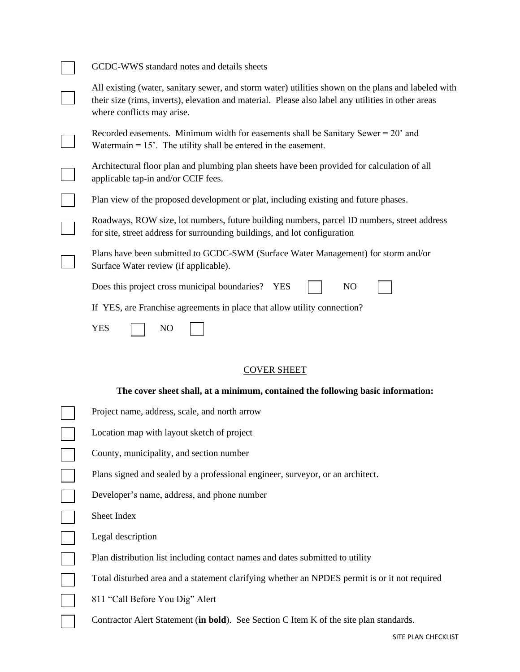| GCDC-WWS standard notes and details sheets                                                                                                                                                                                              |  |
|-----------------------------------------------------------------------------------------------------------------------------------------------------------------------------------------------------------------------------------------|--|
| All existing (water, sanitary sewer, and storm water) utilities shown on the plans and labeled with<br>their size (rims, inverts), elevation and material. Please also label any utilities in other areas<br>where conflicts may arise. |  |
| Recorded easements. Minimum width for easements shall be Sanitary Sewer $= 20^{\circ}$ and<br>Watermain $= 15$ . The utility shall be entered in the easement.                                                                          |  |
| Architectural floor plan and plumbing plan sheets have been provided for calculation of all<br>applicable tap-in and/or CCIF fees.                                                                                                      |  |
| Plan view of the proposed development or plat, including existing and future phases.                                                                                                                                                    |  |
| Roadways, ROW size, lot numbers, future building numbers, parcel ID numbers, street address<br>for site, street address for surrounding buildings, and lot configuration                                                                |  |
| Plans have been submitted to GCDC-SWM (Surface Water Management) for storm and/or<br>Surface Water review (if applicable).                                                                                                              |  |
| Does this project cross municipal boundaries?<br>N <sub>O</sub><br><b>YES</b>                                                                                                                                                           |  |
| If YES, are Franchise agreements in place that allow utility connection?                                                                                                                                                                |  |
| <b>YES</b><br>N <sub>O</sub>                                                                                                                                                                                                            |  |
| <b>COVER SHEET</b>                                                                                                                                                                                                                      |  |

# **The cover sheet shall, at a minimum, contained the following basic information:**

| Project name, address, scale, and north arrow                                                 |
|-----------------------------------------------------------------------------------------------|
| Location map with layout sketch of project                                                    |
| County, municipality, and section number                                                      |
| Plans signed and sealed by a professional engineer, surveyor, or an architect.                |
| Developer's name, address, and phone number                                                   |
| Sheet Index                                                                                   |
| Legal description                                                                             |
| Plan distribution list including contact names and dates submitted to utility                 |
| Total disturbed area and a statement clarifying whether an NPDES permit is or it not required |
| 811 "Call Before You Dig" Alert                                                               |
| Contractor Alert Statement (in bold). See Section C Item K of the site plan standards.        |